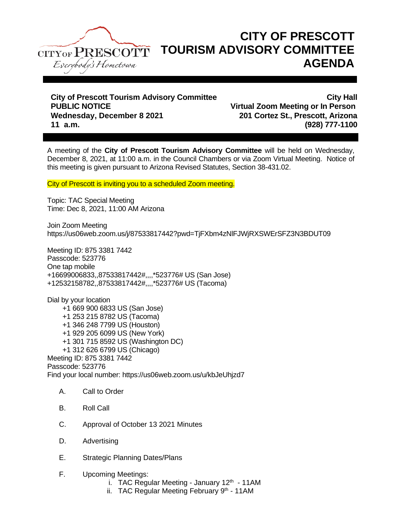

## **CITY OF PRESCOTT TOURISM ADVISORY COMMITTEE AGENDA**

**City of Prescott Tourism Advisory Committee City Hall PUBLIC NOTICE Virtual Zoom Meeting or In Person Wednesday, December 8 2021 201 Cortez St., Prescott, Arizona 11 a.m. (928) 777-1100**

A meeting of the **City of Prescott Tourism Advisory Committee** will be held on Wednesday, December 8, 2021, at 11:00 a.m. in the Council Chambers or via Zoom Virtual Meeting. Notice of this meeting is given pursuant to Arizona Revised Statutes, Section 38-431.02.

City of Prescott is inviting you to a scheduled Zoom meeting.

Topic: TAC Special Meeting Time: Dec 8, 2021, 11:00 AM Arizona

Join Zoom Meeting https://us06web.zoom.us/j/87533817442?pwd=TjFXbm4zNlFJWjRXSWErSFZ3N3BDUT09

Meeting ID: 875 3381 7442 Passcode: 523776 One tap mobile +16699006833,,87533817442#,,,,\*523776# US (San Jose) +12532158782,,87533817442#,,,,\*523776# US (Tacoma)

Dial by your location +1 669 900 6833 US (San Jose) +1 253 215 8782 US (Tacoma) +1 346 248 7799 US (Houston) +1 929 205 6099 US (New York) +1 301 715 8592 US (Washington DC) +1 312 626 6799 US (Chicago) Meeting ID: 875 3381 7442 Passcode: 523776 Find your local number: https://us06web.zoom.us/u/kbJeUhjzd7

- A. Call to Order
- B. Roll Call
- C. Approval of October 13 2021 Minutes
- D. Advertising
- E. Strategic Planning Dates/Plans
- F. Upcoming Meetings:
	- i. TAC Regular Meeting January  $12<sup>th</sup>$  11AM
	- ii. TAC Regular Meeting February  $9<sup>th</sup>$  11AM